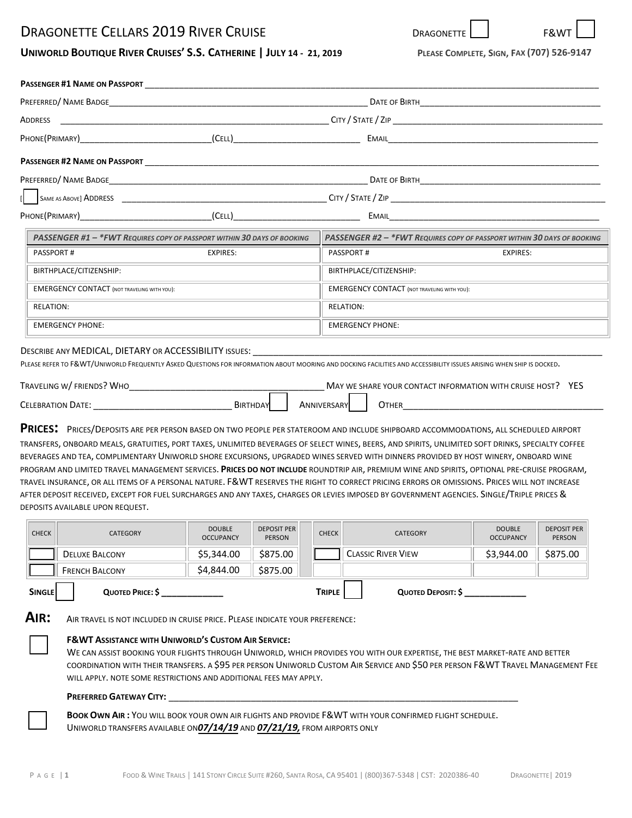# DRAGONETTE CELLARS 2019 RIVER CRUISE

| UNIWORLD BOUTIQUE RIVER CRUISES' S.S. CATHERINE   JULY 14 - 21, 2019 |  |  |
|----------------------------------------------------------------------|--|--|
|----------------------------------------------------------------------|--|--|

|                                      | PREFERRED/ NAME BADGE NAME AND A SERIES AND A SERIES AND THE SERIES AND THE SERIES AND THE SERIES AND THE SERIES AND THE SERIES AND THE SERIES AND A SERIES AND THE SERIES AND THE SERIES AND THE SERIES AND THE SERIES AND TH |                                                                                                                |          |
|--------------------------------------|--------------------------------------------------------------------------------------------------------------------------------------------------------------------------------------------------------------------------------|----------------------------------------------------------------------------------------------------------------|----------|
|                                      |                                                                                                                                                                                                                                | ADDRESS ARE AND THE CITY OF STATE CITY OF STATE CITY OF STATE CITY OF STATE CITY OF STATE CITY OF STATE CITY O |          |
|                                      |                                                                                                                                                                                                                                | EMAIL <b>Example 2008</b>                                                                                      |          |
| <b>PASSENGER #2 NAME ON PASSPORT</b> |                                                                                                                                                                                                                                |                                                                                                                |          |
|                                      |                                                                                                                                                                                                                                | DATE OF BIRTH <b>CONTRACTES</b>                                                                                |          |
|                                      |                                                                                                                                                                                                                                |                                                                                                                |          |
|                                      | PHONE(PRIMARY) (CELL)                                                                                                                                                                                                          |                                                                                                                |          |
|                                      | PASSENGER #1 - *FWT REQUIRES COPY OF PASSPORT WITHIN 30 DAYS OF BOOKING                                                                                                                                                        | PASSENGER #2 - *FWT REQUIRES COPY OF PASSPORT WITHIN 30 DAYS OF BOOKING                                        |          |
| <b>PASSPORT#</b>                     | EXPIRES:                                                                                                                                                                                                                       | PASSPORT#                                                                                                      | EXPIRES: |
| BIRTHPLACE/CITIZENSHIP:              |                                                                                                                                                                                                                                | BIRTHPLACE/CITIZENSHIP:                                                                                        |          |
|                                      |                                                                                                                                                                                                                                |                                                                                                                |          |

| <b>EMERGENCY CONTACT (NOT TRAVELING WITH YOU):</b> | <b>EMERGENCY CONTACT (NOT TRAVELING WITH YOU):</b> |
|----------------------------------------------------|----------------------------------------------------|
| RELATION:                                          | RELATION:                                          |
| EMERGENCY PHONE:                                   | <b>EMERGENCY PHONE:</b>                            |

#### DESCRIBE ANY MEDICAL, DIETARY OR ACCESSIBILITY ISSUES:

PLEASE REFER TO F&WT/UNIWORLD FREQUENTLY ASKED QUESTIONS FOR INFORMATION ABOUT MOORING AND DOCKING FACILITIES AND ACCESSIBILITY ISSUES ARISING WHEN SHIP IS DOCKED.

| TRAVELING W/FRIENDS?<br>`WHO |                 |              | MAY WE SHARE YOUR CONTACT INFORMATION WITH CRUISE HOST? | YES |
|------------------------------|-----------------|--------------|---------------------------------------------------------|-----|
| <b>CELEBRATION DATE:</b>     | <b>BIRTHDAY</b> | ANNIVERSARYL | <b>JTHER</b>                                            |     |

**PRICES:** PRICES/DEPOSITS ARE PER PERSON BASED ON TWO PEOPLE PER STATEROOM AND INCLUDE SHIPBOARD ACCOMMODATIONS, ALL SCHEDULED AIRPORT TRANSFERS, ONBOARD MEALS, GRATUITIES, PORT TAXES, UNLIMITED BEVERAGES OF SELECT WINES, BEERS, AND SPIRITS, UNLIMITED SOFT DRINKS, SPECIALTY COFFEE BEVERAGES AND TEA, COMPLIMENTARY UNIWORLD SHORE EXCURSIONS, UPGRADED WINES SERVED WITH DINNERS PROVIDED BY HOST WINERY, ONBOARD WINE PROGRAM AND LIMITED TRAVEL MANAGEMENT SERVICES. **PRICES DO NOT INCLUDE** ROUNDTRIP AIR, PREMIUM WINE AND SPIRITS, OPTIONAL PRE‐CRUISE PROGRAM, TRAVEL INSURANCE, OR ALL ITEMS OF A PERSONAL NATURE. F&WT RESERVES THE RIGHT TO CORRECT PRICING ERRORS OR OMISSIONS. PRICES WILL NOT INCREASE AFTER DEPOSIT RECEIVED, EXCEPT FOR FUEL SURCHARGES AND ANY TAXES, CHARGES OR LEVIES IMPOSED BY GOVERNMENT AGENCIES. SINGLE/TRIPLE PRICES & DEPOSITS AVAILABLE UPON REQUEST.

| <b>CHECK</b>                                                                    | <b>CATEGORY</b>       | <b>DOUBLE</b><br><b>OCCUPANCY</b> | <b>DEPOSIT PER</b><br><b>PERSON</b> |  | <b>CHECK</b> | <b>CATEGORY</b>           | <b>DOUBLE</b><br><b>OCCUPANCY</b> | <b>DEPOSIT PER</b><br><b>PERSON</b> |
|---------------------------------------------------------------------------------|-----------------------|-----------------------------------|-------------------------------------|--|--------------|---------------------------|-----------------------------------|-------------------------------------|
|                                                                                 | <b>DELUXE BALCONY</b> | \$5,344.00                        | \$875.00                            |  |              | <b>CLASSIC RIVER VIEW</b> | \$3,944.00                        | \$875.00                            |
|                                                                                 | <b>FRENCH BALCONY</b> | \$4,844.00                        | \$875.00                            |  |              |                           |                                   |                                     |
| <b>TRIPLE</b><br><b>SINGLE</b><br>QUOTED PRICE: \$<br><b>QUOTED DEPOSIT: \$</b> |                       |                                   |                                     |  |              |                           |                                   |                                     |

**AIR:** AIR TRAVEL IS NOT INCLUDED IN CRUISE PRICE. PLEASE INDICATE YOUR PREFERENCE:

#### **F&WT ASSISTANCE WITH UNIWORLD'S CUSTOM AIR SERVICE:**

WE CAN ASSIST BOOKING YOUR FLIGHTS THROUGH UNIWORLD, WHICH PROVIDES YOU WITH OUR EXPERTISE, THE BEST MARKET‐RATE AND BETTER COORDINATION WITH THEIR TRANSFERS. A \$95 PER PERSON UNIWORLD CUSTOM AIR SERVICE AND \$50 PER PERSON F&WT TRAVEL MANAGEMENT FEE WILL APPLY. NOTE SOME RESTRICTIONS AND ADDITIONAL FEES MAY APPLY.

#### **PREFERRED GATEWAY CITY:** \_\_\_\_\_\_\_\_\_\_\_\_\_\_\_\_\_\_\_\_\_\_\_\_\_\_\_\_\_\_\_\_\_\_\_\_\_\_\_\_\_\_\_\_\_\_\_\_\_\_\_\_\_\_\_\_\_\_\_\_\_\_\_\_\_\_\_\_

**BOOK OWN AIR :** YOU WILL BOOK YOUR OWN AIR FLIGHTS AND PROVIDE F&WT WITH YOUR CONFIRMED FLIGHT SCHEDULE. UNIWORLD TRANSFERS AVAILABLE ON*07/14/19* AND *07/21/19,* FROM AIRPORTS ONLY